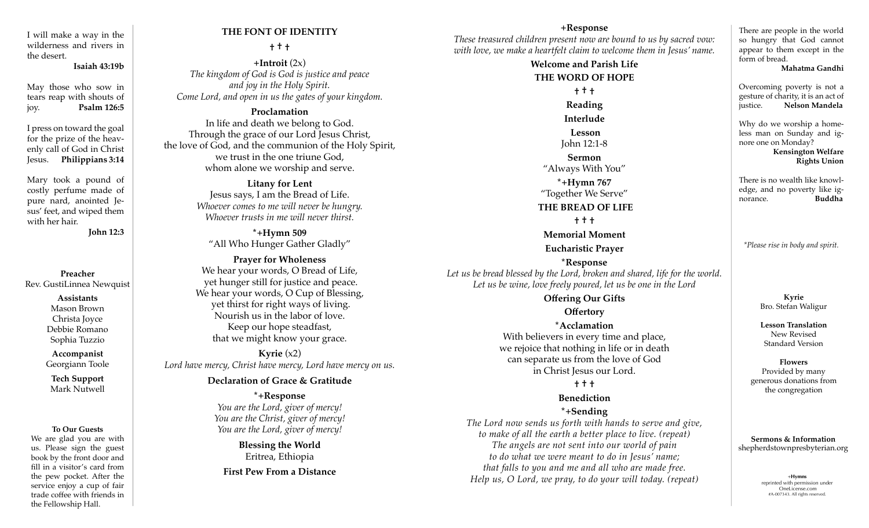I will make a way in the wilderness and rivers in the desert.

#### **Isaiah 43:19b**

May those who sow in tears reap with shouts of joy. **Psalm 126:5**

I press on toward the goal for the prize of the heavenly call of God in Christ Jesus. **Philippians 3:14**

Mary took a pound of costly perfume made of pure nard, anointed Jesus' feet, and wiped them with her hair.

**John 12:3**

### **Preacher** Rev. GustiLinnea Newquist

**Assistants** Mason Brown Christa Joyce Debbie Romano Sophia Tuzzio

**Accompanist** Georgiann Toole

**Tech Support** Mark Nutwell

#### **To Our Guests**

We are glad you are with us. Please sign the guest book by the front door and fill in a visitor's card from the pew pocket. After the service enjoy a cup of fair trade coffee with friends in the Fellowship Hall.

### **THE FONT OF IDENTITY**

#### **† † †**

**+Introit** (2x) *The kingdom of God is God is justice and peace and joy in the Holy Spirit. Come Lord, and open in us the gates of your kingdom.*

### **Proclamation**

In life and death we belong to God. Through the grace of our Lord Jesus Christ, the love of God, and the communion of the Holy Spirit, we trust in the one triune God, whom alone we worship and serve.

> **Litany for Lent**  Jesus says, I am the Bread of Life. *Whoever comes to me will never be hungry. Whoever trusts in me will never thirst.*

**\*+Hymn 509**  "All Who Hunger Gather Gladly"

**Prayer for Wholeness** We hear your words, O Bread of Life, yet hunger still for justice and peace. We hear your words, O Cup of Blessing, yet thirst for right ways of living. Nourish us in the labor of love. Keep our hope steadfast, that we might know your grace.

**Kyrie**  $(x2)$ *Lord have mercy, Christ have mercy, Lord have mercy on us.* 

#### **Declaration of Grace & Gratitude**

**\*+Response**  *You are the Lord, giver of mercy! You are the Christ, giver of mercy! You are the Lord, giver of mercy!*

> **Blessing the World** Eritrea, Ethiopia

**First Pew From a Distance**

#### **+Response**

*These treasured children present now are bound to us by sacred vow: with love, we make a heartfelt claim to welcome them in Jesus' name.* 

# **Welcome and Parish Life THE WORD OF HOPE † † †**

**Reading Interlude Lesson** John 12:1-8 **Sermon** "Always With You" **\*+Hymn 767** "Together We Serve" **THE BREAD OF LIFE**

## **† † †**

#### **Memorial Moment**

### **Eucharistic Prayer**

**\*Response**  *Let us be bread blessed by the Lord, broken and shared, life for the world. Let us be wine, love freely poured, let us be one in the Lord*

### **Offering Our Gifts Offertory**

## **\*Acclamation**

With believers in every time and place, we rejoice that nothing in life or in death can separate us from the love of God in Christ Jesus our Lord.

### **† † †**

### **Benediction**

### **\*+Sending**

*The Lord now sends us forth with hands to serve and give, to make of all the earth a better place to live. (repeat) The angels are not sent into our world of pain to do what we were meant to do in Jesus' name; that falls to you and me and all who are made free. Help us, O Lord, we pray, to do your will today. (repeat)*

There are people in the world so hungry that God cannot appear to them except in the form of bread.

**Mahatma Gandhi**

Overcoming poverty is not a gesture of charity, it is an act of justice. **Nelson Mandela** 

Why do we worship a homeless man on Sunday and ignore one on Monday?  **Kensington Welfare Rights Union**

There is no wealth like knowledge, and no poverty like ignorance. **Buddha**

*\*Please rise in body and spirit.*

**Kyrie**  Bro. Stefan Waligur

**Lesson Translation** New Revised Standard Version

**Flowers** Provided by many generous donations from the congregation

**Sermons & Information** shepherdstownpresbyterian.org

> +**Hymns** reprinted with permission under OneLicense.com #A-007343. All rights reserved.